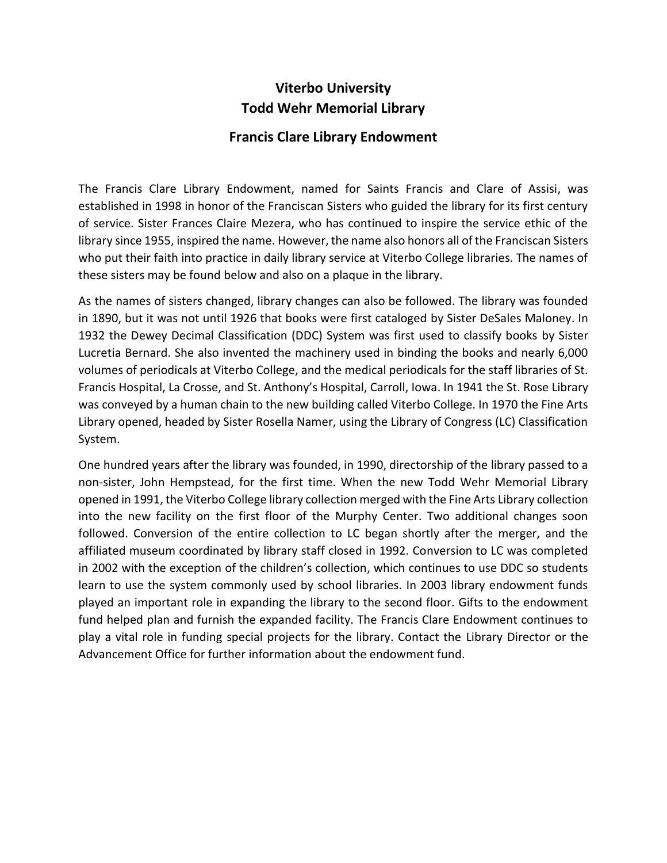## **Viterbo University Todd Wehr Memorial Library**

### **Francis Clare Library Endowment**

The Francis Clare Library Endowment, named for Saints Francis and Clare of Assisi, was established in 1998 in honor of the Franciscan Sisters who guided the library for its first century of service. Sister Frances Claire Mezera, who has continued to inspire the service ethic of the library since 1955, inspired the name. However, the name also honors all of the Franciscan Sisters who put their faith into practice in daily library service at Viterbo College libraries. The names of these sisters may be found below and also on a plaque in the library.

As the names of sisters changed, library changes can also be followed. The library was founded in 1890, but it was not until 1926 that books were first cataloged by Sister DeSales Maloney. In 1932 the Dewey Decimal Classification (DDC) System was first used to classify books by Sister Lucretia Bernard. She also invented the machinery used in binding the books and nearly 6,000 volumes of periodicals at Viterbo College, and the medical periodicals for the staff libraries of St. Francis Hospital, La Crosse, and St. Anthony's Hospital, Carroll, Iowa. In 1941 the St. Rose Library was conveyed by a human chain to the new building called Viterbo College. In 1970 the Fine Arts Library opened, headed by Sister Rosella Namer, using the Library of Congress (LC) Classification System.

One hundred years after the library was founded, in 1990, directorship of the library passed to a non-sister, John Hempstead, for the first time. When the new Todd Wehr Memorial Library opened in 1991, the Viterbo College library collection merged with the Fine Arts Library collection into the new facility on the first floor of the Murphy Center. Two additional changes soon followed. Conversion of the entire collection to LC began shortly after the merger, and the affiliated museum coordinated by library staff closed in 1992. Conversion to LC was completed in 2002 with the exception of the children's collection, which continues to use DDC so students learn to use the system commonly used by school libraries. In 2003 library endowment funds played an important role in expanding the library to the second floor. Gifts to the endowment fund helped plan and furnish the expanded facility. The Francis Clare Endowment continues to play a vital role in funding special projects for the library. Contact the Library Director or the Advancement Office for further information about the endowment fund.